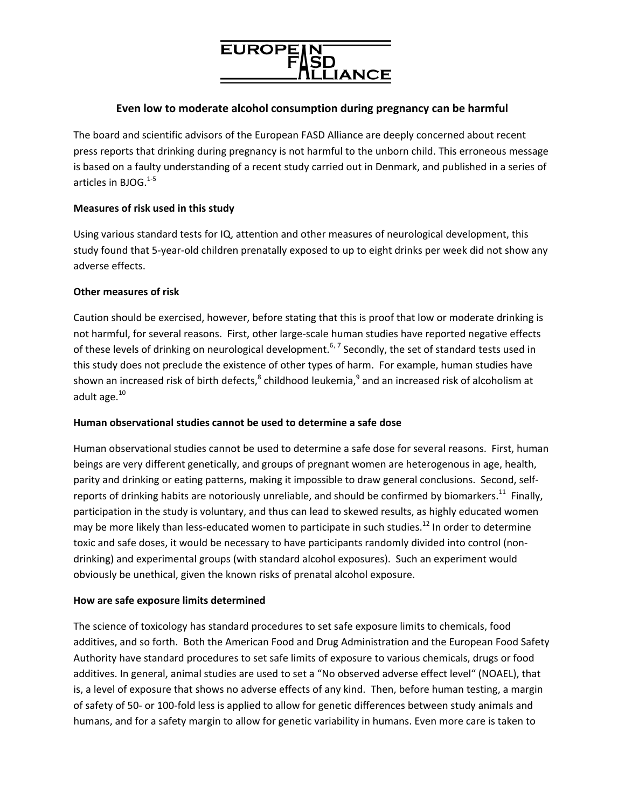

# **Even low to moderate alcohol consumption during pregnancy can be harmful**

The board and scientific advisors of the European FASD Alliance are deeply concerned about recent press reports that drinking during pregnancy is not harmful to the unborn child. This erroneous message is based on a faulty understanding of a recent study carried out in Denmark, and published in a series of articles in BJOG.<sup>1-5</sup>

## **Measures of risk used in this study**

Using various standard tests for IQ, attention and other measures of neurological development, this study found that 5‐year‐old children prenatally exposed to up to eight drinks per week did not show any adverse effects.

## **Other measures of risk**

Caution should be exercised, however, before stating that this is proof that low or moderate drinking is not harmful, for several reasons. First, other large‐scale human studies have reported negative effects of these levels of drinking on neurological development.<sup>6, 7</sup> Secondly, the set of standard tests used in this study does not preclude the existence of other types of harm. For example, human studies have shown an increased risk of birth defects, $^8$  childhood leukemia, $^9$  and an increased risk of alcoholism at adult age.<sup>10</sup>

## **Human observational studies cannot be used to determine a safe dose**

Human observational studies cannot be used to determine a safe dose for several reasons. First, human beings are very different genetically, and groups of pregnant women are heterogenous in age, health, parity and drinking or eating patterns, making it impossible to draw general conclusions. Second, selfreports of drinking habits are notoriously unreliable, and should be confirmed by biomarkers.<sup>11</sup> Finally, participation in the study is voluntary, and thus can lead to skewed results, as highly educated women may be more likely than less-educated women to participate in such studies.<sup>12</sup> In order to determine toxic and safe doses, it would be necessary to have participants randomly divided into control (non‐ drinking) and experimental groups (with standard alcohol exposures). Such an experiment would obviously be unethical, given the known risks of prenatal alcohol exposure.

## **How are safe exposure limits determined**

The science of toxicology has standard procedures to set safe exposure limits to chemicals, food additives, and so forth. Both the American Food and Drug Administration and the European Food Safety Authority have standard procedures to set safe limits of exposure to various chemicals, drugs or food additives. In general, animal studies are used to set a "No observed adverse effect level" (NOAEL), that is, a level of exposure that shows no adverse effects of any kind. Then, before human testing, a margin of safety of 50‐ or 100‐fold less is applied to allow for genetic differences between study animals and humans, and for a safety margin to allow for genetic variability in humans. Even more care is taken to